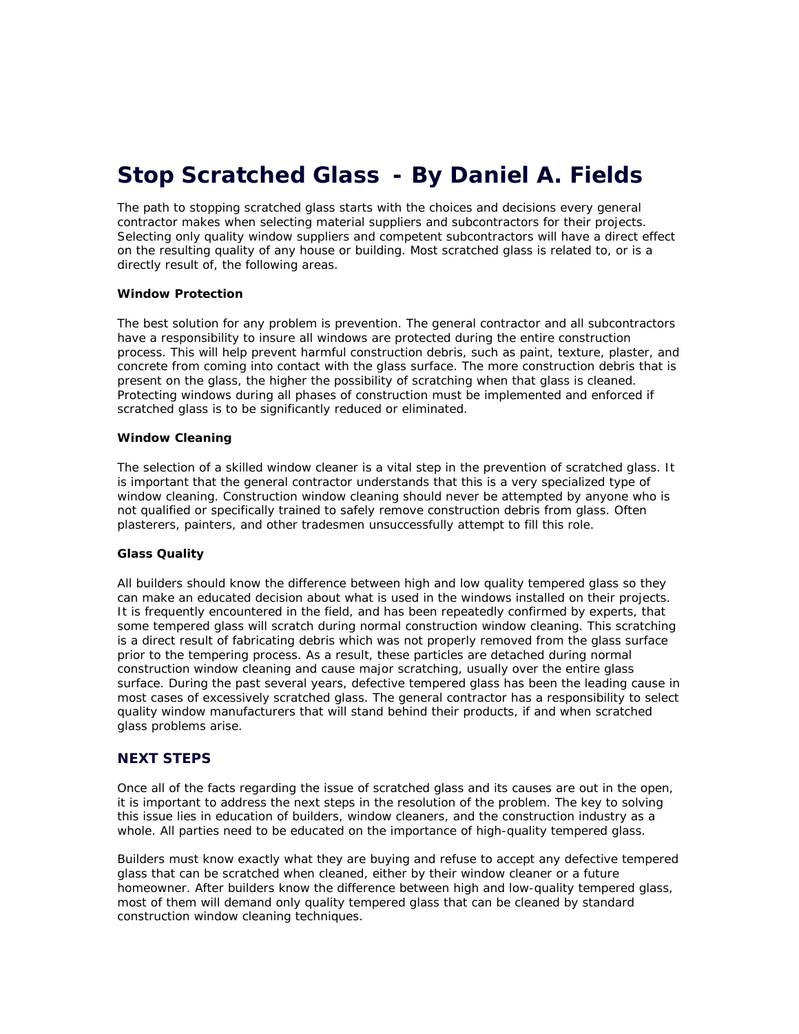# **Stop Scratched Glass - By Daniel A. Fields**

The path to stopping scratched glass starts with the choices and decisions every general contractor makes when selecting material suppliers and subcontractors for their projects. Selecting only quality window suppliers and competent subcontractors will have a direct effect on the resulting quality of any house or building. Most scratched glass is related to, or is a directly result of, the following areas.

### **Window Protection**

The best solution for any problem is prevention. The general contractor and all subcontractors have a responsibility to insure all windows are protected during the entire construction process. This will help prevent harmful construction debris, such as paint, texture, plaster, and concrete from coming into contact with the glass surface. The more construction debris that is present on the glass, the higher the possibility of scratching when that glass is cleaned. Protecting windows during all phases of construction must be implemented and enforced if scratched glass is to be significantly reduced or eliminated.

#### **Window Cleaning**

The selection of a skilled window cleaner is a vital step in the prevention of scratched glass. It is important that the general contractor understands that this is a very specialized type of window cleaning. Construction window cleaning should never be attempted by anyone who is not qualified or specifically trained to safely remove construction debris from glass. Often plasterers, painters, and other tradesmen unsuccessfully attempt to fill this role.

## **Glass Quality**

All builders should know the difference between high and low quality tempered glass so they can make an educated decision about what is used in the windows installed on their projects. It is frequently encountered in the field, and has been repeatedly confirmed by experts, that some tempered glass will scratch during normal construction window cleaning. This scratching is a direct result of fabricating debris which was not properly removed from the glass surface prior to the tempering process. As a result, these particles are detached during normal construction window cleaning and cause major scratching, usually over the entire glass surface. During the past several years, defective tempered glass has been the leading cause in most cases of excessively scratched glass. The general contractor has a responsibility to select quality window manufacturers that will stand behind their products, if and when scratched glass problems arise.

## **NEXT STEPS**

Once all of the facts regarding the issue of scratched glass and its causes are out in the open, it is important to address the next steps in the resolution of the problem. The key to solving this issue lies in education of builders, window cleaners, and the construction industry as a whole. All parties need to be educated on the importance of high-quality tempered glass.

Builders must know exactly what they are buying and refuse to accept any defective tempered glass that can be scratched when cleaned, either by their window cleaner or a future homeowner. After builders know the difference between high and low-quality tempered glass, most of them will demand only quality tempered glass that can be cleaned by standard construction window cleaning techniques.